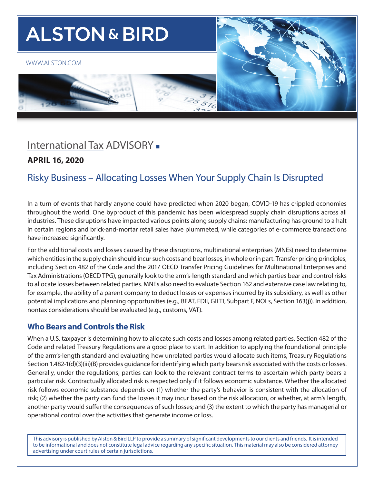# **ALSTON & BIRD**

#### [WWW.ALSTON.COM](https://www.alston.com/en/)





# [International Ta](http://www.alston.com/services/tax/federal/)x ADVISORY -

### **APRIL 16, 2020**

# Risky Business – Allocating Losses When Your Supply Chain Is Disrupted

In a turn of events that hardly anyone could have predicted when 2020 began, COVID-19 has crippled economies throughout the world. One byproduct of this pandemic has been widespread supply chain disruptions across all industries. These disruptions have impacted various points along supply chains: manufacturing has ground to a halt in certain regions and brick-and-mortar retail sales have plummeted, while categories of e-commerce transactions have increased significantly.

For the additional costs and losses caused by these disruptions, multinational enterprises (MNEs) need to determine which entities in the supply chain should incur such costs and bear losses, in whole or in part. Transfer pricing principles, including Section 482 of the Code and the 2017 OECD Transfer Pricing Guidelines for Multinational Enterprises and Tax Administrations (OECD TPG), generally look to the arm's-length standard and which parties bear and control risks to allocate losses between related parties. MNEs also need to evaluate Section 162 and extensive case law relating to, for example, the ability of a parent company to deduct losses or expenses incurred by its subsidiary, as well as other potential implications and planning opportunities (e.g., BEAT, FDII, GILTI, Subpart F, NOLs, Section 163(j)). In addition, nontax considerations should be evaluated (e.g., customs, VAT).

#### **Who Bears and Controls the Risk**

When a U.S. taxpayer is determining how to allocate such costs and losses among related parties, Section 482 of the Code and related Treasury Regulations are a good place to start. In addition to applying the foundational principle of the arm's-length standard and evaluating how unrelated parties would allocate such items, Treasury Regulations Section 1.482-1(d)(3)(iii)(B) provides guidance for identifying which party bears risk associated with the costs or losses. Generally, under the regulations, parties can look to the relevant contract terms to ascertain which party bears a particular risk. Contractually allocated risk is respected only if it follows economic substance. Whether the allocated risk follows economic substance depends on (1) whether the party's behavior is consistent with the allocation of risk; (2) whether the party can fund the losses it may incur based on the risk allocation, or whether, at arm's length, another party would suffer the consequences of such losses; and (3) the extent to which the party has managerial or operational control over the activities that generate income or loss.

This advisory is published by Alston & Bird LLP to provide a summary of significant developments to our clients and friends. It is intended to be informational and does not constitute legal advice regarding any specific situation. This material may also be considered attorney advertising under court rules of certain jurisdictions.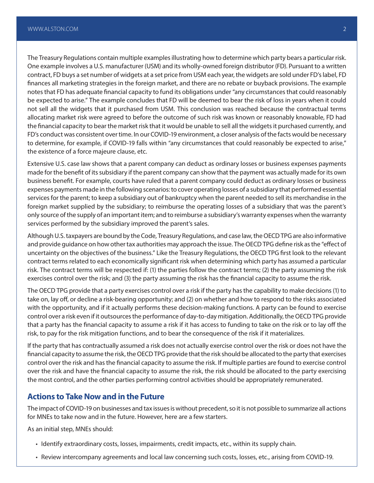The Treasury Regulations contain multiple examples illustrating how to determine which party bears a particular risk. One example involves a U.S. manufacturer (USM) and its wholly-owned foreign distributor (FD). Pursuant to a written contract, FD buys a set number of widgets at a set price from USM each year, the widgets are sold under FD's label, FD finances all marketing strategies in the foreign market, and there are no rebate or buyback provisions. The example notes that FD has adequate financial capacity to fund its obligations under "any circumstances that could reasonably be expected to arise." The example concludes that FD will be deemed to bear the risk of loss in years when it could not sell all the widgets that it purchased from USM. This conclusion was reached because the contractual terms allocating market risk were agreed to before the outcome of such risk was known or reasonably knowable, FD had the financial capacity to bear the market risk that it would be unable to sell all the widgets it purchased currently, and FD's conduct was consistent over time. In our COVID-19 environment, a closer analysis of the facts would be necessary to determine, for example, if COVID-19 falls within "any circumstances that could reasonably be expected to arise," the existence of a force majeure clause, etc.

Extensive U.S. case law shows that a parent company can deduct as ordinary losses or business expenses payments made for the benefit of its subsidiary if the parent company can show that the payment was actually made for its own business benefit. For example, courts have ruled that a parent company could deduct as ordinary losses or business expenses payments made in the following scenarios: to cover operating losses of a subsidiary that performed essential services for the parent; to keep a subsidiary out of bankruptcy when the parent needed to sell its merchandise in the foreign market supplied by the subsidiary; to reimburse the operating losses of a subsidiary that was the parent's only source of the supply of an important item; and to reimburse a subsidiary's warranty expenses when the warranty services performed by the subsidiary improved the parent's sales.

Although U.S. taxpayers are bound by the Code, Treasury Regulations, and case law, the OECD TPG are also informative and provide guidance on how other tax authorities may approach the issue. The OECD TPG define risk as the "effect of uncertainty on the objectives of the business." Like the Treasury Regulations, the OECD TPG first look to the relevant contract terms related to each economically significant risk when determining which party has assumed a particular risk. The contract terms will be respected if: (1) the parties follow the contract terms; (2) the party assuming the risk exercises control over the risk; and (3) the party assuming the risk has the financial capacity to assume the risk.

The OECD TPG provide that a party exercises control over a risk if the party has the capability to make decisions (1) to take on, lay off, or decline a risk-bearing opportunity; and (2) on whether and how to respond to the risks associated with the opportunity, and if it actually performs these decision-making functions. A party can be found to exercise control over a risk even if it outsources the performance of day-to-day mitigation. Additionally, the OECD TPG provide that a party has the financial capacity to assume a risk if it has access to funding to take on the risk or to lay off the risk, to pay for the risk mitigation functions, and to bear the consequence of the risk if it materializes.

If the party that has contractually assumed a risk does not actually exercise control over the risk or does not have the financial capacity to assume the risk, the OECD TPG provide that the risk should be allocated to the party that exercises control over the risk and has the financial capacity to assume the risk. If multiple parties are found to exercise control over the risk and have the financial capacity to assume the risk, the risk should be allocated to the party exercising the most control, and the other parties performing control activities should be appropriately remunerated.

#### **Actions to Take Now and in the Future**

The impact of COVID-19 on businesses and tax issues is without precedent, so it is not possible to summarize all actions for MNEs to take now and in the future. However, here are a few starters.

As an initial step, MNEs should:

- Identify extraordinary costs, losses, impairments, credit impacts, etc., within its supply chain.
- Review intercompany agreements and local law concerning such costs, losses, etc., arising from COVID-19.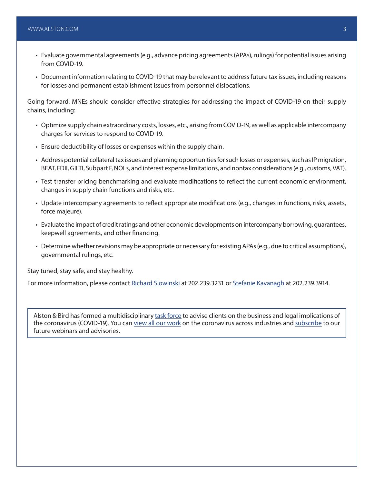- Evaluate governmental agreements (e.g., advance pricing agreements (APAs), rulings) for potential issues arising from COVID-19.
- Document information relating to COVID-19 that may be relevant to address future tax issues, including reasons for losses and permanent establishment issues from personnel dislocations.

Going forward, MNEs should consider effective strategies for addressing the impact of COVID-19 on their supply chains, including:

- Optimize supply chain extraordinary costs, losses, etc., arising from COVID-19, as well as applicable intercompany charges for services to respond to COVID-19.
- Ensure deductibility of losses or expenses within the supply chain.
- Address potential collateral tax issues and planning opportunities for such losses or expenses, such as IP migration, BEAT, FDII, GILTI, Subpart F, NOLs, and interest expense limitations, and nontax considerations (e.g., customs, VAT).
- Test transfer pricing benchmarking and evaluate modifications to reflect the current economic environment, changes in supply chain functions and risks, etc.
- Update intercompany agreements to reflect appropriate modifications (e.g., changes in functions, risks, assets, force majeure).
- Evaluate the impact of credit ratings and other economic developments on intercompany borrowing, guarantees, keepwell agreements, and other financing.
- Determine whether revisions may be appropriate or necessary for existing APAs (e.g., due to critical assumptions), governmental rulings, etc.

Stay tuned, stay safe, and stay healthy.

For more information, please contact [Richard Slowinski](https://www.alston.com/en/professionals/s/slowinski-richard) at 202.239.3231 or [Stefanie Kavanagh](https://www.alston.com/en/professionals/k/kavanagh-stefanie-e) at 202.239.3914.

Alston & Bird has formed a multidisciplinary [task force](https://www.alston.com/en/resources/coronavirus/overview) to advise clients on the business and legal implications of the coronavirus (COVID-19). You can [view all our work](https://www.alston.com/en/insights/?keyword=Coronavirus&reload=false&scroll=499.7685546875) on the coronavirus across industries and [subscribe](https://www.alston.com/en/resources/subscriptions-form) to our future webinars and advisories.